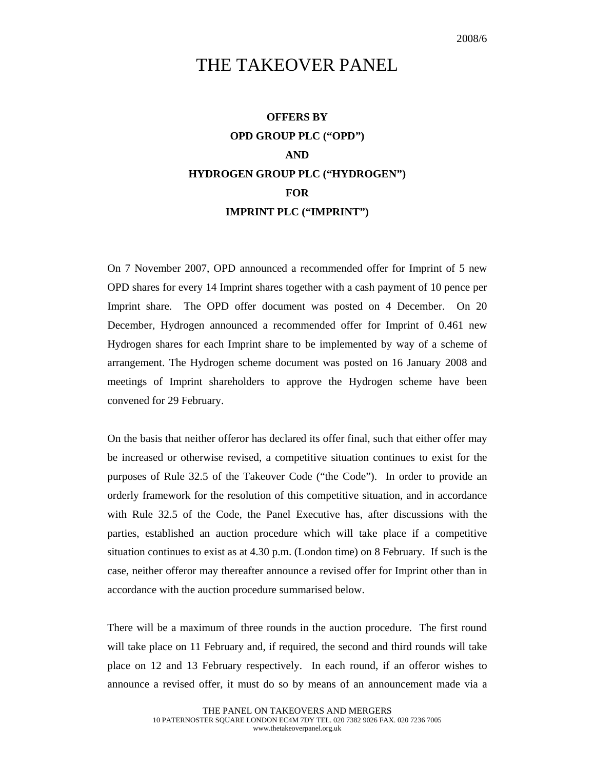## THE TAKEOVER PANEL

## **OFFERS BY OPD GROUP PLC ("OPD") AND HYDROGEN GROUP PLC ("HYDROGEN") FOR IMPRINT PLC ("IMPRINT")**

On 7 November 2007, OPD announced a recommended offer for Imprint of 5 new OPD shares for every 14 Imprint shares together with a cash payment of 10 pence per Imprint share. The OPD offer document was posted on 4 December. On 20 December, Hydrogen announced a recommended offer for Imprint of 0.461 new Hydrogen shares for each Imprint share to be implemented by way of a scheme of arrangement. The Hydrogen scheme document was posted on 16 January 2008 and meetings of Imprint shareholders to approve the Hydrogen scheme have been convened for 29 February.

On the basis that neither offeror has declared its offer final, such that either offer may be increased or otherwise revised, a competitive situation continues to exist for the purposes of Rule 32.5 of the Takeover Code ("the Code"). In order to provide an orderly framework for the resolution of this competitive situation, and in accordance with Rule 32.5 of the Code, the Panel Executive has, after discussions with the parties, established an auction procedure which will take place if a competitive situation continues to exist as at 4.30 p.m. (London time) on 8 February. If such is the case, neither offeror may thereafter announce a revised offer for Imprint other than in accordance with the auction procedure summarised below.

There will be a maximum of three rounds in the auction procedure. The first round will take place on 11 February and, if required, the second and third rounds will take place on 12 and 13 February respectively. In each round, if an offeror wishes to announce a revised offer, it must do so by means of an announcement made via a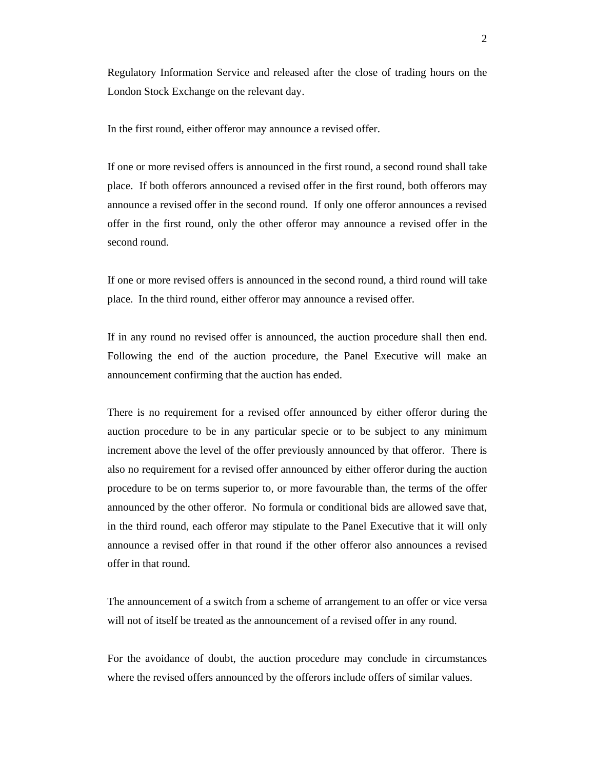Regulatory Information Service and released after the close of trading hours on the London Stock Exchange on the relevant day.

In the first round, either offeror may announce a revised offer.

If one or more revised offers is announced in the first round, a second round shall take place. If both offerors announced a revised offer in the first round, both offerors may announce a revised offer in the second round. If only one offeror announces a revised offer in the first round, only the other offeror may announce a revised offer in the second round.

If one or more revised offers is announced in the second round, a third round will take place. In the third round, either offeror may announce a revised offer.

If in any round no revised offer is announced, the auction procedure shall then end. Following the end of the auction procedure, the Panel Executive will make an announcement confirming that the auction has ended.

There is no requirement for a revised offer announced by either offeror during the auction procedure to be in any particular specie or to be subject to any minimum increment above the level of the offer previously announced by that offeror. There is also no requirement for a revised offer announced by either offeror during the auction procedure to be on terms superior to, or more favourable than, the terms of the offer announced by the other offeror. No formula or conditional bids are allowed save that, in the third round, each offeror may stipulate to the Panel Executive that it will only announce a revised offer in that round if the other offeror also announces a revised offer in that round.

The announcement of a switch from a scheme of arrangement to an offer or vice versa will not of itself be treated as the announcement of a revised offer in any round.

For the avoidance of doubt, the auction procedure may conclude in circumstances where the revised offers announced by the offerors include offers of similar values.